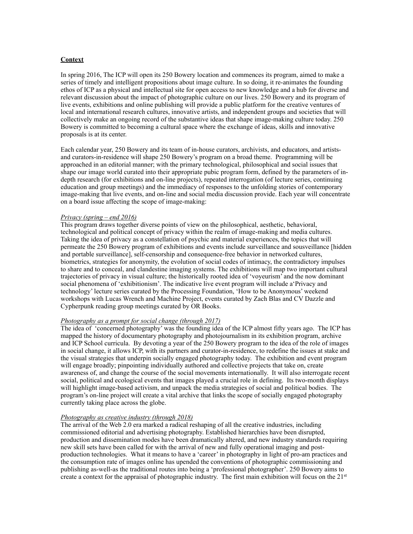# **Context**

In spring 2016, The ICP will open its 250 Bowery location and commences its program, aimed to make a series of timely and intelligent propositions about image culture. In so doing, it re-animates the founding ethos of ICP as a physical and intellectual site for open access to new knowledge and a hub for diverse and relevant discussion about the impact of photographic culture on our lives. 250 Bowery and its program of live events, exhibitions and online publishing will provide a public platform for the creative ventures of local and international research cultures, innovative artists, and independent groups and societies that will collectively make an ongoing record of the substantive ideas that shape image-making culture today. 250 Bowery is committed to becoming a cultural space where the exchange of ideas, skills and innovative proposals is at its center.

Each calendar year, 250 Bowery and its team of in-house curators, archivists, and educators, and artistsand curators-in-residence will shape 250 Bowery's program on a broad theme. Programming will be approached in an editorial manner; with the primary technological, philosophical and social issues that shape our image world curated into their appropriate pubic program form, defined by the parameters of indepth research (for exhibitions and on-line projects), repeated interrogation (of lecture series, continuing education and group meetings) and the immediacy of responses to the unfolding stories of contemporary image-making that live events, and on-line and social media discussion provide. Each year will concentrate on a board issue affecting the scope of image-making:

#### *Privacy (spring – end 2016)*

This program draws together diverse points of view on the philosophical, aesthetic, behavioral, technological and political concept of privacy within the realm of image-making and media cultures. Taking the idea of privacy as a constellation of psychic and material experiences, the topics that will permeate the 250 Bowery program of exhibitions and events include surveillance and sousveillance [hidden and portable surveillance], self-censorship and consequence-free behavior in networked cultures, biometrics, strategies for anonymity, the evolution of social codes of intimacy, the contradictory impulses to share and to conceal, and clandestine imaging systems. The exhibitions will map two important cultural trajectories of privacy in visual culture; the historically rooted idea of 'voyeurism' and the now dominant social phenomena of 'exhibitionism'. The indicative live event program will include a'Privacy and technology' lecture series curated by the Processing Foundation, 'How to be Anonymous' weekend workshops with Lucas Wrench and Machine Project, events curated by Zach Blas and CV Dazzle and Cypherpunk reading group meetings curated by OR Books.

## *Photography as a prompt for social change (through 2017)*

The idea of 'concerned photography' was the founding idea of the ICP almost fifty years ago. The ICP has mapped the history of documentary photography and photojournalism in its exhibition program, archive and ICP School curricula. By devoting a year of the 250 Bowery program to the idea of the role of images in social change, it allows ICP, with its partners and curator-in-residence, to redefine the issues at stake and the visual strategies that underpin socially engaged photography today. The exhibition and event program will engage broadly; pinpointing individually authored and collective projects that take on, create awareness of, and change the course of the social movements internationally. It will also interrogate recent social, political and ecological events that images played a crucial role in defining. Its two-month displays will highlight image-based activism, and unpack the media strategies of social and political bodies. The program's on-line project will create a vital archive that links the scope of socially engaged photography currently taking place across the globe.

#### *Photography as creative industry (through 2018)*

The arrival of the Web 2.0 era marked a radical reshaping of all the creative industries, including commissioned editorial and advertising photography. Established hierarchies have been disrupted, production and dissemination modes have been dramatically altered, and new industry standards requiring new skill sets have been called for with the arrival of new and fully operational imaging and postproduction technologies. What it means to have a 'career' in photography in light of pro-am practices and the consumption rate of images online has upended the conventions of photographic commissioning and publishing as-well-as the traditional routes into being a 'professional photographer'. 250 Bowery aims to create a context for the appraisal of photographic industry. The first main exhibition will focus on the  $21<sup>st</sup>$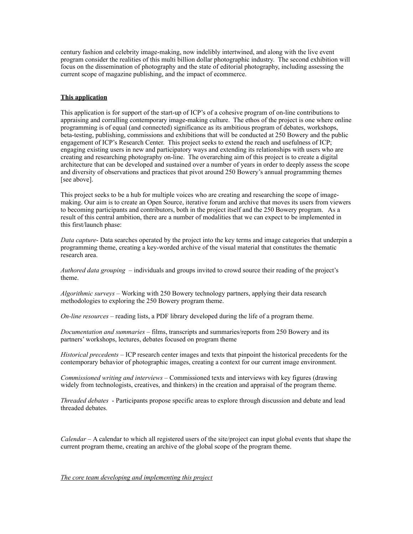century fashion and celebrity image-making, now indelibly intertwined, and along with the live event program consider the realities of this multi billion dollar photographic industry. The second exhibition will focus on the dissemination of photography and the state of editorial photography, including assessing the current scope of magazine publishing, and the impact of ecommerce.

### **This application**

This application is for support of the start-up of ICP's of a cohesive program of on-line contributions to appraising and corralling contemporary image-making culture. The ethos of the project is one where online programming is of equal (and connected) significance as its ambitious program of debates, workshops, beta-testing, publishing, commissions and exhibitions that will be conducted at 250 Bowery and the public engagement of ICP's Research Center. This project seeks to extend the reach and usefulness of ICP; engaging existing users in new and participatory ways and extending its relationships with users who are creating and researching photography on-line. The overarching aim of this project is to create a digital architecture that can be developed and sustained over a number of years in order to deeply assess the scope and diversity of observations and practices that pivot around 250 Bowery's annual programming themes [see above].

This project seeks to be a hub for multiple voices who are creating and researching the scope of imagemaking. Our aim is to create an Open Source, iterative forum and archive that moves its users from viewers to becoming participants and contributors, both in the project itself and the 250 Bowery program. As a result of this central ambition, there are a number of modalities that we can expect to be implemented in this first/launch phase:

*Data capture*- Data searches operated by the project into the key terms and image categories that underpin a programming theme, creating a key-worded archive of the visual material that constitutes the thematic research area.

*Authored data grouping* – individuals and groups invited to crowd source their reading of the project's theme.

*Algorithmic surveys –* Working with 250 Bowery technology partners, applying their data research methodologies to exploring the 250 Bowery program theme.

*On-line resources –* reading lists, a PDF library developed during the life of a program theme.

*Documentation and summaries* – films, transcripts and summaries/reports from 250 Bowery and its partners' workshops, lectures, debates focused on program theme

*Historical precedents* – ICP research center images and texts that pinpoint the historical precedents for the contemporary behavior of photographic images, creating a context for our current image environment.

*Commissioned writing and interviews* – Commissioned texts and interviews with key figures (drawing widely from technologists, creatives, and thinkers) in the creation and appraisal of the program theme.

*Threaded debates* - Participants propose specific areas to explore through discussion and debate and lead threaded debates.

*Calendar –* A calendar to which all registered users of the site/project can input global events that shape the current program theme, creating an archive of the global scope of the program theme.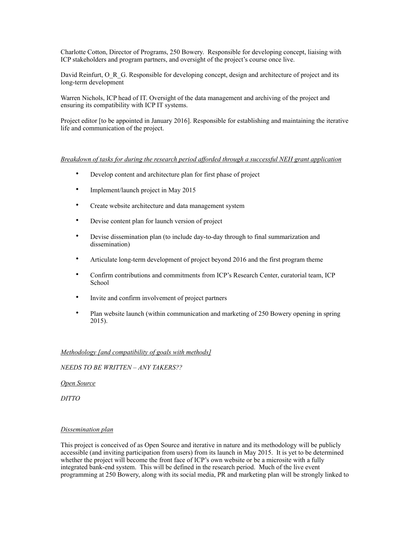Charlotte Cotton, Director of Programs, 250 Bowery. Responsible for developing concept, liaising with ICP stakeholders and program partners, and oversight of the project's course once live.

David Reinfurt, O\_R\_G. Responsible for developing concept, design and architecture of project and its long-term development

Warren Nichols, ICP head of IT. Oversight of the data management and archiving of the project and ensuring its compatibility with ICP IT systems.

Project editor [to be appointed in January 2016]. Responsible for establishing and maintaining the iterative life and communication of the project.

## *Breakdown of tasks for during the research period afforded through a successful NEH grant application*

- Develop content and architecture plan for first phase of project
- Implement/launch project in May 2015
- Create website architecture and data management system
- Devise content plan for launch version of project
- Devise dissemination plan (to include day-to-day through to final summarization and dissemination)
- Articulate long-term development of project beyond 2016 and the first program theme
- Confirm contributions and commitments from ICP's Research Center, curatorial team, ICP School
- Invite and confirm involvement of project partners
- Plan website launch (within communication and marketing of 250 Bowery opening in spring 2015).

## *Methodology [and compatibility of goals with methods]*

### *NEEDS TO BE WRITTEN – ANY TAKERS??*

#### *Open Source*

*DITTO*

# *Dissemination plan*

This project is conceived of as Open Source and iterative in nature and its methodology will be publicly accessible (and inviting participation from users) from its launch in May 2015. It is yet to be determined whether the project will become the front face of ICP's own website or be a microsite with a fully integrated bank-end system. This will be defined in the research period. Much of the live event programming at 250 Bowery, along with its social media, PR and marketing plan will be strongly linked to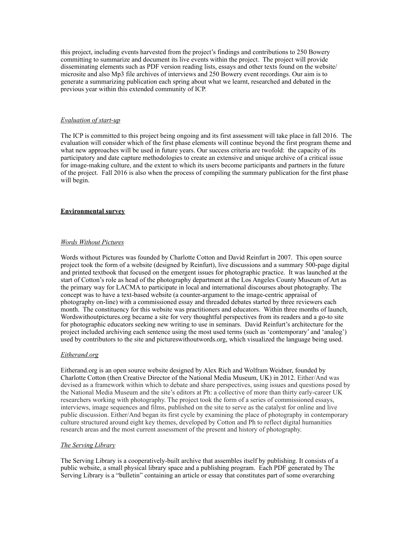this project, including events harvested from the project's findings and contributions to 250 Bowery committing to summarize and document its live events within the project. The project will provide disseminating elements such as PDF version reading lists, essays and other texts found on the website/ microsite and also Mp3 file archives of interviews and 250 Bowery event recordings. Our aim is to generate a summarizing publication each spring about what we learnt, researched and debated in the previous year within this extended community of ICP.

### *Evaluation of start-up*

The ICP is committed to this project being ongoing and its first assessment will take place in fall 2016. The evaluation will consider which of the first phase elements will continue beyond the first program theme and what new approaches will be used in future years. Our success criteria are twofold: the capacity of its participatory and date capture methodologies to create an extensive and unique archive of a critical issue for image-making culture, and the extent to which its users become participants and partners in the future of the project. Fall 2016 is also when the process of compiling the summary publication for the first phase will begin.

## **Environmental survey**

## *Words Without Pictures*

Words without Pictures was founded by Charlotte Cotton and David Reinfurt in 2007. This open source project took the form of a website (designed by Reinfurt), live discussions and a summary 500-page digital and printed textbook that focused on the emergent issues for photographic practice. It was launched at the start of Cotton's role as head of the photography department at the Los Angeles County Museum of Art as the primary way for LACMA to participate in local and international discourses about photography. The concept was to have a text-based website (a counter-argument to the image-centric appraisal of photography on-line) with a commissioned essay and threaded debates started by three reviewers each month. The constituency for this website was practitioners and educators. Within three months of launch, Wordswithoutpictures.org became a site for very thoughtful perspectives from its readers and a go-to site for photographic educators seeking new writing to use in seminars. David Reinfurt's architecture for the project included archiving each sentence using the most used terms (such as 'contemporary' and 'analog') used by contributors to the site and pictureswithoutwords.org, which visualized the language being used.

#### *Eitherand.org*

Eitherand.org is an open source website designed by Alex Rich and Wolfram Weidner, founded by Charlotte Cotton (then Creative Director of the National Media Museum, UK) in 2012. Either/And was devised as a framework within which to debate and share perspectives, using issues and questions posed by the National Media Museum and the site's editors at Ph: a collective of more than thirty early-career UK researchers working with photography. The project took the form of a series of commissioned essays, interviews, image sequences and films, published on the site to serve as the catalyst for online and live public discussion. Either/And began its first cycle by examining the place of photography in contemporary culture structured around eight key themes, developed by Cotton and Ph to reflect digital humanities research areas and the most current assessment of the present and history of photography.

## *The Serving Library*

The Serving Library is a cooperatively-built archive that assembles itself by publishing. It consists of a public website, a small physical library space and a publishing program. Each PDF generated by The Serving Library is a "bulletin" containing an article or essay that constitutes part of some overarching